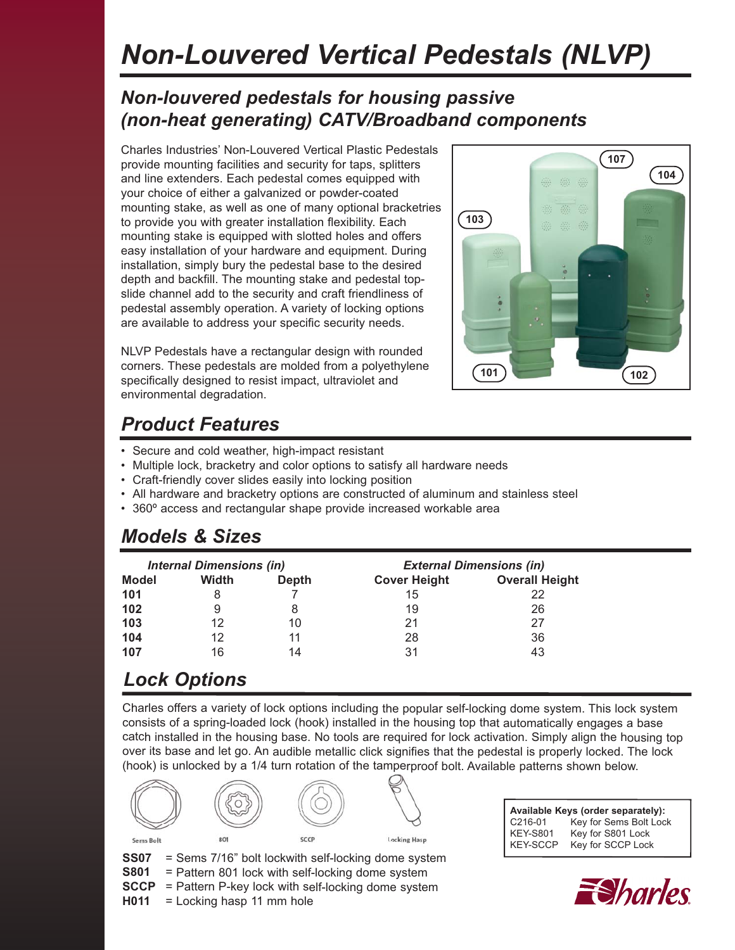# *Non-Louvered Vertical Pedestals (NLVP)*

#### *Non-louvered pedestals for housing passive (non-heat generating) CATV/Broadband components*

Charles Industries' Non-Louvered Vertical Plastic Pedestals provide mounting facilities and security for taps, splitters and line extenders. Each pedestal comes equipped with your choice of either a galvanized or powder-coated mounting stake, as well as one of many optional bracketries to provide you with greater installation flexibility. Each mounting stake is equipped with slotted holes and offers easy installation of your hardware and equipment. During installation, simply bury the pedestal base to the desired depth and backfill. The mounting stake and pedestal topslide channel add to the security and craft friendliness of pedestal assembly operation. A variety of locking options are available to address your specific security needs.

NLVP Pedestals have a rectangular design with rounded corners. These pedestals are molded from a polyethylene specifically designed to resist impact, ultraviolet and environmental degradation.

# **101 102 103 107 104**

#### *Product Features*

- Secure and cold weather, high-impact resistant
- Multiple lock, bracketry and color options to satisfy all hardware needs
- Craft-friendly cover slides easily into locking position
- All hardware and bracketry options are constructed of aluminum and stainless steel
- 360º access and rectangular shape provide increased workable area

#### *Models & Sizes*

| <b>Internal Dimensions (in)</b> |              |              | <b>External Dimensions (in)</b> |                       |  |  |
|---------------------------------|--------------|--------------|---------------------------------|-----------------------|--|--|
| <b>Model</b>                    | <b>Width</b> | <b>Depth</b> | <b>Cover Height</b>             | <b>Overall Height</b> |  |  |
| 101                             |              |              | 15                              | 22                    |  |  |
| 102                             |              | 8            | 19                              | 26                    |  |  |
| 103                             | 12           | 10           | 21                              | 27                    |  |  |
| 104                             | 12           | 11           | 28                              | 36                    |  |  |
| 107                             | 16           | 14           | 31                              | 43                    |  |  |

#### *Lock Options*

Charles offers a variety of lock options including the popular self-locking dome system. This lock system consists of a spring-loaded lock (hook) installed in the housing top that automatically engages a base catch installed in the housing base. No tools are required for lock activation. Simply align the housing top over its base and let go. An audible metallic click signifies that the pedestal is properly locked. The lock (hook) is unlocked by a 1/4 turn rotation of the tamperproof bolt. Available patterns shown below.



**Available Keys (order separately):** C216-01 Key for Sems Bolt Lock KEY-S801 Key for S801 Lock KEY-SCCP Key for SCCP Lock



**H011** = Locking hasp 11 mm hole